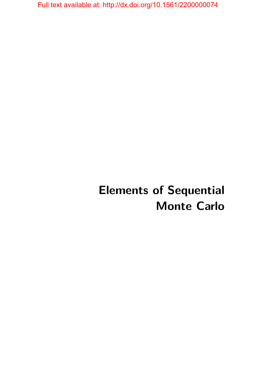# **Elements of Sequential Monte Carlo**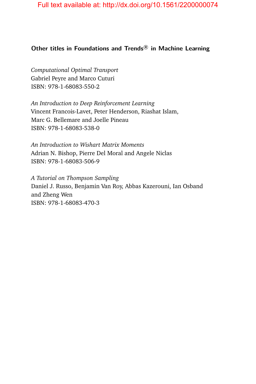#### **Other titles in Foundations and Trends <sup>R</sup> in Machine Learning**

*Computational Optimal Transport* Gabriel Peyre and Marco Cuturi ISBN: 978-1-68083-550-2

*An Introduction to Deep Reinforcement Learning* Vincent Francois-Lavet, Peter Henderson, Riashat Islam, Marc G. Bellemare and Joelle Pineau ISBN: 978-1-68083-538-0

*An Introduction to Wishart Matrix Moments* Adrian N. Bishop, Pierre Del Moral and Angele Niclas ISBN: 978-1-68083-506-9

*A Tutorial on Thompson Sampling* Daniel J. Russo, Benjamin Van Roy, Abbas Kazerouni, Ian Osband and Zheng Wen ISBN: 978-1-68083-470-3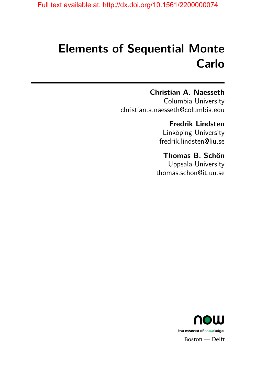# **Elements of Sequential Monte Carlo**

### **Christian A. Naesseth**

Columbia University christian.a.naesseth@columbia.edu

## **Fredrik Lindsten**

Linköping University fredrik.lindsten@liu.se

## **Thomas B. Schön**

Uppsala University thomas.schon@it.uu.se

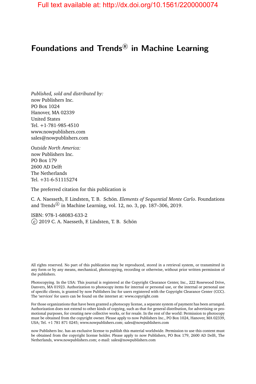## Foundations and Trends<sup>®</sup> in Machine Learning

*Published, sold and distributed by:* now Publishers Inc. PO Box 1024 Hanover, MA 02339 United States Tel. +1-781-985-4510 www.nowpublishers.com sales@nowpublishers.com

*Outside North America:* now Publishers Inc. PO Box 179 2600 AD Delft The Netherlands Tel. +31-6-51115274

The preferred citation for this publication is

C. A. Naesseth, F. Lindsten, T. B. Schön. *Elements of Sequential Monte Carlo*. Foundations and Trends $^{\circledR}$  in Machine Learning, vol. 12, no. 3, pp. 187–306, 2019.

ISBN: 978-1-68083-633-2 c 2019 C. A. Naesseth, F. Lindsten, T. B. Schön

Photocopying. In the USA: This journal is registered at the Copyright Clearance Center, Inc., 222 Rosewood Drive, Danvers, MA 01923. Authorization to photocopy items for internal or personal use, or the internal or personal use of specific clients, is granted by now Publishers Inc for users registered with the Copyright Clearance Center (CCC). The 'services' for users can be found on the internet at: www.copyright.com

For those organizations that have been granted a photocopy license, a separate system of payment has been arranged. Authorization does not extend to other kinds of copying, such as that for general distribution, for advertising or promotional purposes, for creating new collective works, or for resale. In the rest of the world: Permission to photocopy must be obtained from the copyright owner. Please apply to now Publishers Inc., PO Box 1024, Hanover, MA 02339, USA; Tel. +1 781 871 0245; www.nowpublishers.com; sales@nowpublishers.com

now Publishers Inc. has an exclusive license to publish this material worldwide. Permission to use this content must be obtained from the copyright license holder. Please apply to now Publishers, PO Box 179, 2600 AD Delft, The Netherlands, www.nowpublishers.com; e-mail: sales@nowpublishers.com

All rights reserved. No part of this publication may be reproduced, stored in a retrieval system, or transmitted in any form or by any means, mechanical, photocopying, recording or otherwise, without prior written permission of the publishers.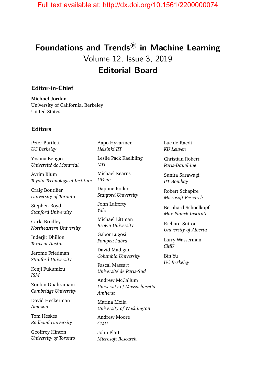# **Foundations and Trends <sup>R</sup> in Machine Learning** Volume 12, Issue 3, 2019 **Editorial Board**

#### **Editor-in-Chief**

**Michael Jordan** University of California, Berkeley United States

#### **Editors**

Peter Bartlett *UC Berkeley* Yoshua Bengio *Université de Montréal* Avrim Blum *Toyota Technological Institute*

Craig Boutilier *University of Toronto*

Stephen Boyd *Stanford University*

Carla Brodley *Northeastern University*

Inderjit Dhillon *Texas at Austin*

Jerome Friedman *Stanford University*

Kenji Fukumizu *ISM*

Zoubin Ghahramani *Cambridge University*

David Heckerman *Amazon*

Tom Heskes *Radboud University*

Geoffrey Hinton *University of Toronto* Aapo Hyvarinen *Helsinki IIT*

Leslie Pack Kaelbling *MIT*

Michael Kearns *UPenn*

Daphne Koller *Stanford University*

John Lafferty *Yale*

Michael Littman *Brown University*

Gabor Lugosi *Pompeu Fabra*

David Madigan *Columbia University*

Pascal Massart *Université de Paris-Sud*

Andrew McCallum *University of Massachusetts Amherst*

Marina Meila *University of Washington*

Andrew Moore *CMU*

John Platt *Microsoft Research* Luc de Raedt *KU Leuven*

Christian Robert *Paris-Dauphine*

Sunita Sarawagi *IIT Bombay*

Robert Schapire *Microsoft Research*

Bernhard Schoelkopf *Max Planck Institute*

Richard Sutton *University of Alberta*

Larry Wasserman *CMU*

Bin Yu *UC Berkeley*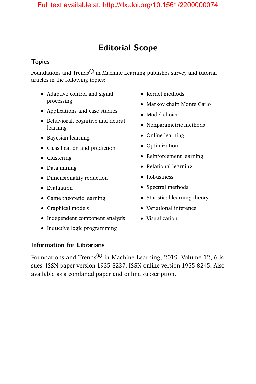# **Editorial Scope**

#### **Topics**

Foundations and Trends $^{\circledR}$  in Machine Learning publishes survey and tutorial articles in the following topics:

- Adaptive control and signal processing
- Applications and case studies
- Behavioral, cognitive and neural learning
- Bayesian learning
- Classification and prediction
- Clustering
- Data mining
- Dimensionality reduction
- Evaluation
- Game theoretic learning
- Graphical models
- Independent component analysis
- Inductive logic programming
- Kernel methods
- Markov chain Monte Carlo
- Model choice
- Nonparametric methods
- Online learning
- Optimization
- Reinforcement learning
- Relational learning
- Robustness
- Spectral methods
- Statistical learning theory
- Variational inference
- Visualization

#### **Information for Librarians**

Foundations and Trends $^\circledR$  in Machine Learning, 2019, Volume 12, 6 issues. ISSN paper version 1935-8237. ISSN online version 1935-8245. Also available as a combined paper and online subscription.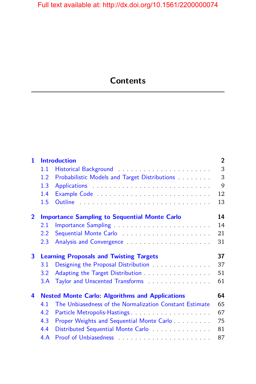# **Contents**

| $\mathbf{1}$   |                  | <b>Introduction</b>                                                                                               | $\overline{2}$ |
|----------------|------------------|-------------------------------------------------------------------------------------------------------------------|----------------|
|                | 1.1              |                                                                                                                   | 3              |
|                | 1.2 <sub>2</sub> | Probabilistic Models and Target Distributions                                                                     | 3              |
|                | 1.3              |                                                                                                                   | 9              |
|                | 1.4              |                                                                                                                   | 12             |
|                | 1.5              |                                                                                                                   | 13             |
| $\overline{2}$ |                  | <b>Importance Sampling to Sequential Monte Carlo</b>                                                              | 14             |
|                | 2.1              |                                                                                                                   | 14             |
|                | $2.2\degree$     |                                                                                                                   | 21             |
|                | 2.3              |                                                                                                                   | 31             |
| $\mathbf{3}$   |                  | <b>Learning Proposals and Twisting Targets</b>                                                                    |                |
|                |                  |                                                                                                                   | 37             |
|                | 3.1              | Designing the Proposal Distribution                                                                               | 37             |
|                | 3.2              |                                                                                                                   | 51             |
|                | 3.A              | Adapting the Target Distribution<br>Taylor and Unscented Transforms                                               | 61             |
| 4              |                  |                                                                                                                   | 64             |
|                | 4.1              | <b>Nested Monte Carlo: Algorithms and Applications</b><br>The Unbiasedness of the Normalization Constant Estimate | 65             |
|                | 4.2              |                                                                                                                   | 67             |
|                | 4.3              |                                                                                                                   | 75             |
|                | 4.4              | Proper Weights and Sequential Monte Carlo<br>Distributed Sequential Monte Carlo                                   | 81             |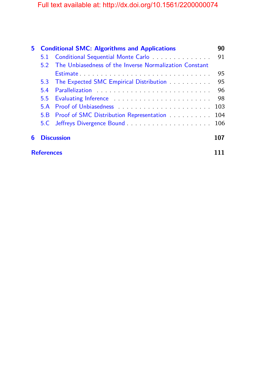| 5. | <b>Conditional SMC: Algorithms and Applications</b> |                                                        | 90  |  |
|----|-----------------------------------------------------|--------------------------------------------------------|-----|--|
|    | 5.1                                                 | Conditional Sequential Monte Carlo                     | 91  |  |
|    | 52                                                  | The Unbiasedness of the Inverse Normalization Constant |     |  |
|    |                                                     |                                                        | 95  |  |
|    | 5.3                                                 | The Expected SMC Empirical Distribution                | 95  |  |
|    | 5.4                                                 |                                                        | 96  |  |
|    | $5.5^{\circ}$                                       |                                                        | 98  |  |
|    | 5 A                                                 |                                                        | 103 |  |
|    | 5.B                                                 | Proof of SMC Distribution Representation               | 104 |  |
|    |                                                     |                                                        | 106 |  |
| 6  | <b>Discussion</b>                                   |                                                        |     |  |
|    | <b>References</b>                                   |                                                        |     |  |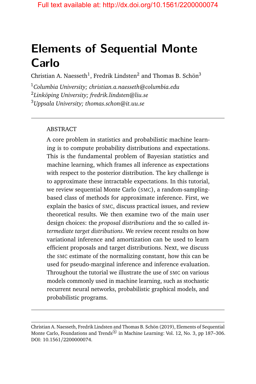# **Elements of Sequential Monte Carlo**

Christian A. Naesseth<sup>1</sup>, Fredrik Lindsten<sup>2</sup> and Thomas B. Schön<sup>3</sup>

<sup>1</sup>*Columbia University; christian.a.naesseth@columbia.edu* 2 *Linköping University; fredrik.lindsten@liu.se*

<sup>3</sup>*Uppsala University; thomas.schon@it.uu.se*

#### ABSTRACT

A core problem in statistics and probabilistic machine learning is to compute probability distributions and expectations. This is the fundamental problem of Bayesian statistics and machine learning, which frames all inference as expectations with respect to the posterior distribution. The key challenge is to approximate these intractable expectations. In this tutorial, we review sequential Monte Carlo (SMC), a random-samplingbased class of methods for approximate inference. First, we explain the basics of SMC, discuss practical issues, and review theoretical results. We then examine two of the main user design choices: the *proposal distributions* and the so called *intermediate target distributions*. We review recent results on how variational inference and amortization can be used to learn efficient proposals and target distributions. Next, we discuss the SMC estimate of the normalizing constant, how this can be used for pseudo-marginal inference and inference evaluation. Throughout the tutorial we illustrate the use of SMC on various models commonly used in machine learning, such as stochastic recurrent neural networks, probabilistic graphical models, and probabilistic programs.

Christian A. Naesseth, Fredrik Lindsten and Thomas B. Schön (2019), Elements of Sequential Monte Carlo, Foundations and Trends $^{\circledR}$  in Machine Learning: Vol. 12, No. 3, pp 187–306. DOI: 10.1561/2200000074.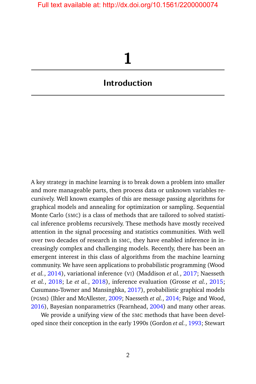# **1**

### <span id="page-9-0"></span>**Introduction**

A key strategy in machine learning is to break down a problem into smaller and more manageable parts, then process data or unknown variables recursively. Well known examples of this are message passing algorithms for graphical models and annealing for optimization or sampling. Sequential Monte Carlo (SMC) is a class of methods that are tailored to solved statistical inference problems recursively. These methods have mostly received attention in the signal processing and statistics communities. With well over two decades of research in SMC, they have enabled inference in increasingly complex and challenging models. Recently, there has been an emergent interest in this class of algorithms from the machine learning community. We have seen applications to probabilistic programming (Wood *et al.*, [2014\)](#page-30-0), variational inference (VI) (Maddison *et al.*, [2017;](#page-28-0) Naesseth *et al.*, [2018;](#page-28-1) Le *et al.*, [2018\)](#page-27-0), inference evaluation (Grosse *et al.*, [2015;](#page-25-0) Cusumano-Towner and Mansinghka, [2017\)](#page-23-0), probabilistic graphical models (PGMs) (Ihler and McAllester, [2009;](#page-26-0) Naesseth *et al.*, [2014;](#page-29-0) Paige and Wood, [2016\)](#page-29-1), Bayesian nonparametrics (Fearnhead, [2004\)](#page-24-0) and many other areas.

We provide a unifying view of the SMC methods that have been developed since their conception in the early 1990s (Gordon *et al.*, [1993;](#page-25-1) Stewart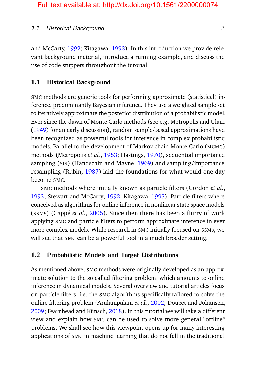#### 1.1. Historical Background 3

and McCarty, [1992;](#page-30-1) Kitagawa, [1993\)](#page-26-1). In this introduction we provide relevant background material, introduce a running example, and discuss the use of code snippets throughout the tutorial.

#### <span id="page-10-0"></span>**1.1 Historical Background**

SMC methods are generic tools for performing approximate (statistical) inference, predominantly Bayesian inference. They use a weighted sample set to iteratively approximate the posterior distribution of a probabilistic model. Ever since the dawn of Monte Carlo methods (see e.g. Metropolis and Ulam [\(1949\)](#page-28-2) for an early discussion), random sample-based approximations have been recognized as powerful tools for inference in complex probabilistic models. Parallel to the development of Markov chain Monte Carlo (MCMC) methods (Metropolis *et al.*, [1953;](#page-28-3) Hastings, [1970\)](#page-25-2), sequential importance sampling (SIS) (Handschin and Mayne, [1969\)](#page-25-3) and sampling/importance resampling (Rubin, [1987\)](#page-29-2) laid the foundations for what would one day become SMC.

SMC methods where initially known as particle filters (Gordon *et al.*, [1993;](#page-25-1) Stewart and McCarty, [1992;](#page-30-1) Kitagawa, [1993\)](#page-26-1). Particle filters where conceived as algorithms for online inference in nonlinear state space models (SSMs) (Cappé *et al.*, [2005\)](#page-22-0). Since then there has been a flurry of work applying SMC and particle filters to perform approximate inference in ever more complex models. While research in SMC initially focused on SSMs, we will see that SMC can be a powerful tool in a much broader setting.

#### <span id="page-10-1"></span>**1.2 Probabilistic Models and Target Distributions**

As mentioned above, SMC methods were originally developed as an approximate solution to the so called filtering problem, which amounts to online inference in dynamical models. Several overview and tutorial articles focus on particle filters, i.e. the SMC algorithms specifically tailored to solve the online filtering problem (Arulampalam *et al.*, [2002;](#page-21-1) Doucet and Johansen, [2009;](#page-24-1) Fearnhead and Künsch, [2018\)](#page-24-2). In this tutorial we will take a different view and explain how SMC can be used to solve more general "offline" problems. We shall see how this viewpoint opens up for many interesting applications of SMC in machine learning that do not fall in the traditional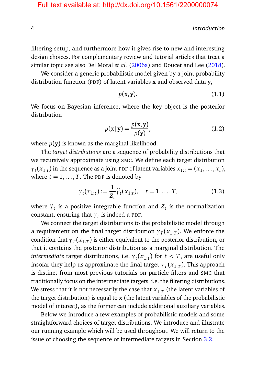4 Introduction

filtering setup, and furthermore how it gives rise to new and interesting design choices. For complementary review and tutorial articles that treat a similar topic see also Del Moral *et al.* [\(2006a\)](#page-23-1) and Doucet and Lee [\(2018\)](#page-24-3).

We consider a generic probabilistic model given by a joint probability distribution function (PDF) of latent variables **x** and observed data **y**,

<span id="page-11-0"></span>
$$
p(\mathbf{x}, \mathbf{y}).\tag{1.1}
$$

We focus on Bayesian inference, where the key object is the posterior distribution

$$
p(\mathbf{x}|\mathbf{y}) = \frac{p(\mathbf{x}, \mathbf{y})}{p(\mathbf{y})},
$$
\n(1.2)

where  $p(\mathbf{y})$  is known as the marginal likelihood.

The *target distributions* are a sequence of probability distributions that we recursively approximate using SMC. We define each target distribution  $\gamma_t(x_{1:t})$  in the sequence as a joint PDF of latent variables  $x_{1:t} = (x_1, \ldots, x_t)$ , where  $t = 1, \ldots, T$ . The PDF is denoted by

$$
\gamma_t(x_{1:t}) := \frac{1}{Z_t} \widetilde{\gamma}_t(x_{1:t}), \quad t = 1, \dots, T,
$$
\n(1.3)

where  $\tilde{\gamma}_t$  is a positive integrable function and  $Z_t$  is the normalization constant, ensuring that  $\gamma_t$  is indeed a PDF.

We connect the target distributions to the probabilistic model through a requirement on the final target distribution  $\gamma_{\it T}(x_{1:T})$ . We enforce the condition that  ${\gamma}_T({x}_{1:T})$  is either equivalent to the posterior distribution, or that it contains the posterior distribution as a marginal distribution. The *intermediate* target distributions, i.e.  $\gamma_t(x_{1:t})$  for  $t < T$ , are useful only insofar they help us approximate the final target  $\gamma_{\it T}({\it x}_{1:T}).$  This approach is distinct from most previous tutorials on particle filters and SMC that traditionally focus on the intermediate targets, i.e. the filtering distributions. We stress that it is not necessarily the case that  $x_{1:T}$  (the latent variables of the target distribution) is equal to **x** (the latent variables of the probabilistic model of interest), as the former can include additional auxiliary variables.

Below we introduce a few examples of probabilistic models and some straightforward choices of target distributions. We introduce and illustrate our running example which will be used throughout. We will return to the issue of choosing the sequence of intermediate targets in Section [3.2.](#page--1-5)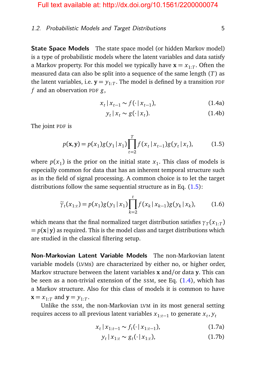#### 1.2. Probabilistic Models and Target Distributions 5

**State Space Models** The state space model (or hidden Markov model) is a type of probabilistic models where the latent variables and data satisfy a Markov property. For this model we typically have  $\mathbf{x} = x_{1:T}$ . Often the measured data can also be split into a sequence of the same length (*T*) as the latent variables, i.e.  $\mathbf{y} = y_{1:T}$ . The model is defined by a transition <code>pDF</code> *f* and an observation PDF *g*,

$$
x_t | x_{t-1} \sim f(\cdot | x_{t-1}), \tag{1.4a}
$$

<span id="page-12-0"></span>
$$
y_t | x_t \sim g(\cdot | x_t). \tag{1.4b}
$$

The joint PDF is

$$
p(\mathbf{x}, \mathbf{y}) = p(x_1)g(y_1 | x_1) \prod_{t=2}^{T} f(x_t | x_{t-1})g(y_t | x_t),
$$
 (1.5)

where  $p(x_1)$  is the prior on the initial state  $x_1$ . This class of models is especially common for data that has an inherent temporal structure such as in the field of signal processing. A common choice is to let the target distributions follow the same sequential structure as in Eq.  $(1.5)$ :

$$
\widetilde{\gamma}_t(x_{1:t}) = p(x_1)g(y_1|x_1)\prod_{k=2}^t f(x_k|x_{k-1})g(y_k|x_k), \qquad (1.6)
$$

which means that the final normalized target distribution satisfies  ${\gamma}_T({{x}}_{1:T})$  $= p(x|y)$  as required. This is the model class and target distributions which are studied in the classical filtering setup.

**Non-Markovian Latent Variable Models** The non-Markovian latent variable models (LVMs) are characterized by either no, or higher order, Markov structure between the latent variables **x** and/or data **y**. This can be seen as a non-trivial extension of the  $SSM$ , see Eq.  $(1.4)$ , which has a Markov structure. Also for this class of models it is common to have  $\mathbf{x} = x_{1:T}$  and  $\mathbf{y} = y_{1:T}$ .

Unlike the SSM, the non-Markovian LVM in its most general setting requires access to all previous latent variables *x*1:*t*−<sup>1</sup> to generate *x<sup>t</sup>* , *y<sup>t</sup>*

$$
x_t | x_{1:t-1} \sim f_t(\cdot | x_{1:t-1}), \tag{1.7a}
$$

$$
y_t | x_{1:t} \sim g_t(\cdot | x_{1:t}), \tag{1.7b}
$$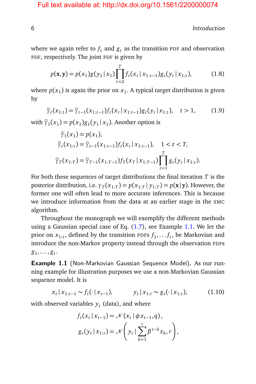6 Introduction

where we again refer to  $f_t$  and  $g_t$  as the transition PDF and observation PDF, respectively. The joint PDF is given by

$$
p(\mathbf{x}, \mathbf{y}) = p(x_1)g(y_1 | x_1) \prod_{t=2}^{T} f_t(x_t | x_{1:t-1}) g_t(y_t | x_{1:t}),
$$
 (1.8)

where  $p(x_1)$  is again the prior on  $x_1$ . A typical target distribution is given by

$$
\widetilde{\gamma}_t(x_{1:t}) = \widetilde{\gamma}_{t-1}(x_{1:t-1}) f_t(x_t | x_{1:t-1}) g_t(y_t | x_{1:t}), \quad t > 1,
$$
\n(1.9)

with  $\tilde{\gamma}_1(x_1) = p(x_1)g_1(y_1 | x_1)$ . Another option is

$$
\widetilde{\gamma}_1(x_1) = p(x_1),
$$
  
\n
$$
\widetilde{\gamma}_t(x_{1:t}) = \widetilde{\gamma}_{t-1}(x_{1:t-1}) f_t(x_t | x_{1:t-1}), \quad 1 < t < T,
$$
  
\n
$$
\widetilde{\gamma}_T(x_{1:T}) = \widetilde{\gamma}_{T-1}(x_{1:T-1}) f_T(x_T | x_{1:T-1}) \prod_{t=1}^T g_t(y_t | x_{1:t}).
$$

For both these sequences of target distributions the final iteration *T* is the posterior distribution, i.e.  $\gamma_T(x_{1:T}) = p(x_{1:T} | y_{1:T}) = p(\mathbf{x} | \mathbf{y})$ . However, the former one will often lead to more accurate inferences. This is because we introduce information from the data at an earlier stage in the SMC algorithm.

Throughout the monograph we will exemplify the different methods using a Gaussian special case of Eq. [\(1.7\)](#page-11-0), see Example [1.1.](#page-14-0) We let the prior on  $x_{1:t}$ , defined by the transition PDFs  $f_1, \ldots, f_t$ , be Markovian and introduce the non-Markov property instead through the observation PDFs  $g_1, \ldots, g_t$ .

**Example 1.1** (Non-Markovian Gaussian Sequence Model)**.** As our running example for illustration purposes we use a non-Markovian Gaussian sequence model. It is

$$
x_t | x_{1:t-1} \sim f_t(\cdot | x_{t-1}), \qquad y_t | x_{1:t} \sim g_t(\cdot | x_{1:t}), \qquad (1.10)
$$

with observed variables  $y_t$  (data), and where

$$
f_t(x_t | x_{t-1}) = \mathcal{N}(x_t | \phi x_{t-1}, q),
$$
  

$$
g_t(y_t | x_{1:t}) = \mathcal{N}\left(y_t | \sum_{k=1}^t \beta^{t-k} x_k, r\right),
$$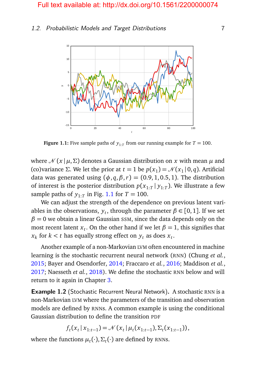#### <span id="page-14-0"></span>1.2. Probabilistic Models and Target Distributions 7



**Figure 1.1:** Five sample paths of  $y_{1:T}$  from our running example for  $T = 100$ .

where  $\mathcal{N}(x | \mu, \Sigma)$  denotes a Gaussian distribution on x with mean  $\mu$  and (co)variance *Σ*. We let the prior at *t* = 1 be  $p(x_1) = \mathcal{N}(x_1 | 0, q)$ . Artificial data was generated using  $(\phi, q, \beta, r) = (0.9, 1, 0.5, 1)$ . The distribution of interest is the posterior distribution *p*(*x*1:*<sup>T</sup>* | *y*1:*<sup>T</sup>* ). We illustrate a few sample paths of  $y_{1:T}$  in Fig. [1.1](#page-14-0) for  $T = 100$ .

We can adjust the strength of the dependence on previous latent variables in the observations,  $y_t$ , through the parameter  $\beta \in [0,1]$ . If we set  $\beta = 0$  we obtain a linear Gaussian SSM, since the data depends only on the most recent latent  $x_t$ . On the other hand if we let  $\beta = 1$ , this signifies that  $x_k$  for  $k < t$  has equally strong effect on  $y_t$  as does  $x_t$ .

Another example of a non-Markovian LVM often encountered in machine learning is the stochastic recurrent neural network (RNN) (Chung *et al.*, [2015;](#page-23-2) Bayer and Osendorfer, [2014;](#page-21-2) Fraccaro *et al.*, [2016;](#page-24-4) Maddison *et al.*, [2017;](#page-28-0) Naesseth et al., [2018\)](#page-28-1). We define the stochastic RNN below and will return to it again in Chapter [3.](#page--1-0)

**Example 1.2** (Stochastic Recurrent Neural Network). A stochastic RNN is a non-Markovian LVM where the parameters of the transition and observation models are defined by RNNs. A common example is using the conditional Gaussian distribution to define the transition PDF

$$
f_t(x_t | x_{1:t-1}) = \mathcal{N}(x_t | \mu_t(x_{1:t-1}), \Sigma_t(x_{1:t-1})),
$$

where the functions  $\mu_t(\cdot), \Sigma_t(\cdot)$  are defined by RNNs.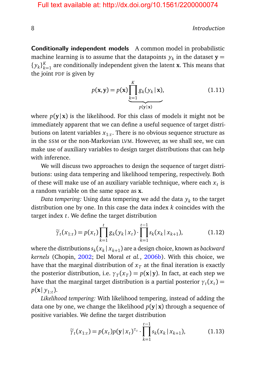8 Introduction and the set of the set of the set of the set of the set of the set of the set of the set of the set of the set of the set of the set of the set of the set of the set of the set of the set of the set of the s

**Conditionally independent models** A common model in probabilistic machine learning is to assume that the datapoints  $y_k$  in the dataset  $\mathbf{y} =$  $\{y_k\}_{k=1}^K$  $\frac{k}{k-1}$  are conditionally independent given the latent **x**. This means that the joint PDF is given by

$$
p(\mathbf{x}, \mathbf{y}) = p(\mathbf{x}) \underbrace{\prod_{k=1}^{K} g_k(y_k | \mathbf{x})}_{p(\mathbf{y} | \mathbf{x})},
$$
\n(1.11)

where  $p(y|x)$  is the likelihood. For this class of models it might not be immediately apparent that we can define a useful sequence of target distributions on latent variables *x*1:*<sup>t</sup>* . There is no obvious sequence structure as in the SSM or the non-Markovian LVM. However, as we shall see, we can make use of auxiliary variables to design target distributions that can help with inference.

We will discuss two approaches to design the sequence of target distributions: using data tempering and likelihood tempering, respectively. Both of these will make use of an auxiliary variable technique, where each  $x_t$  is a random variable on the same space as **x**.

*Data tempering:* Using data tempering we add the data *y<sup>k</sup>* to the target distribution one by one. In this case the data index *k* coincides with the target index *t*. We define the target distribution

$$
\widetilde{\gamma}_t(x_{1:t}) = p(x_t) \prod_{k=1}^t g_k(y_k | x_t) \cdot \prod_{k=1}^{t-1} s_k(x_k | x_{k+1}), \tag{1.12}
$$

where the distributions  $s_k(x_k | x_{k+1})$  are a design choice, known as *backward kernels* (Chopin, [2002;](#page-22-1) Del Moral *et al.*, [2006b\)](#page-23-3). With this choice, we have that the marginal distribution of  $x<sub>T</sub>$  at the final iteration is exactly the posterior distribution, i.e.  $\gamma_T(x_T) = p(\mathbf{x} | \mathbf{y})$ . In fact, at each step we have that the marginal target distribution is a partial posterior  $\gamma_t(x_t)$   $=$  $p(\mathbf{x} | y_{1:t})$ .

*Likelihood tempering:* With likelihood tempering, instead of adding the data one by one, we change the likelihood  $p(y|x)$  through a sequence of positive variables. We define the target distribution

$$
\widetilde{\gamma}_t(x_{1:t}) = p(x_t)p(\mathbf{y} | x_t)^{\tau_t} \cdot \prod_{k=1}^{t-1} s_k(x_k | x_{k+1}), \tag{1.13}
$$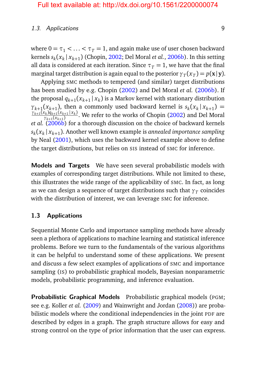#### 1.3. Applications 9

where  $0 = \tau_1 < \ldots < \tau_T = 1$ , and again make use of user chosen backward kernels *s<sup>k</sup>* (*x<sup>k</sup>* <sup>|</sup> *<sup>x</sup>k*+<sup>1</sup> ) (Chopin, [2002;](#page-22-1) Del Moral *et al.*, [2006b\)](#page-23-3). In this setting all data is considered at each iteration. Since  $\tau_T = 1$ , we have that the final marginal target distribution is again equal to the posterior  $\gamma_T(x_T) = p(\mathbf{x} | \mathbf{y})$ .

Applying SMC methods to tempered (and similar) target distributions has been studied by e.g. Chopin [\(2002\)](#page-22-1) and Del Moral *et al.* [\(2006b\)](#page-23-3). If the proposal  $q_{k+1}(x_{k+1} | x_k)$  is a Markov kernel with stationary distribution  $\gamma_{k+1}(x_{k+1})$ , then a commonly used backward kernel is  $s_k(x_k | x_{k+1}) =$  $\frac{\gamma_{k+1}(x_k)q_{k+1}(x_{k+1}|x_k)}{q_k}$  $\gamma_{k+1}(x_{k+1}) \over \gamma_{k+1}(x_{k+1})}$ . We refer to the works of Chopin [\(2002\)](#page-22-1) and Del Moral *et al.* [\(2006b\)](#page-23-3) for a thorough discussion on the choice of backward kernels  $s_k(x_k | x_{k+1})$ . Another well known example is *annealed importance sampling* by Neal [\(2001\)](#page-29-3), which uses the backward kernel example above to define the target distributions, but relies on SIS instead of SMC for inference.

**Models and Targets** We have seen several probabilistic models with examples of corresponding target distributions. While not limited to these, this illustrates the wide range of the applicability of SMC. In fact, as long as we can design a sequence of target distributions such that  $\gamma_{\it T}$  coincides with the distribution of interest, we can leverage SMC for inference.

#### <span id="page-16-0"></span>**1.3 Applications**

Sequential Monte Carlo and importance sampling methods have already seen a plethora of applications to machine learning and statistical inference problems. Before we turn to the fundamentals of the various algorithms it can be helpful to understand some of these applications. We present and discuss a few select examples of applications of SMC and importance sampling (IS) to probabilistic graphical models, Bayesian nonparametric models, probabilistic programming, and inference evaluation.

**Probabilistic Graphical Models** Probabilistic graphical models (PGM; see e.g. Koller *et al.* [\(2009\)](#page-27-1) and Wainwright and Jordan [\(2008\)](#page-30-2)) are probabilistic models where the conditional independencies in the joint PDF are described by edges in a graph. The graph structure allows for easy and strong control on the type of prior information that the user can express.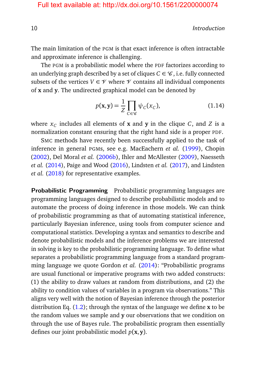10 Introduction and the set of the set of the set of the set of the set of the set of the set of the set of the set of the set of the set of the set of the set of the set of the set of the set of the set of the set of the

The main limitation of the PGM is that exact inference is often intractable and approximate inference is challenging.

The PGM is a probabilistic model where the PDF factorizes according to an underlying graph described by a set of cliques  $C \in \mathcal{C}$ , i.e. fully connected subsets of the vertices  $V \in \mathcal{V}$  where  $\mathcal{V}$  contains all individual components of **x** and **y**. The undirected graphical model can be denoted by

$$
p(\mathbf{x}, \mathbf{y}) = \frac{1}{Z} \prod_{C \in \mathscr{C}} \psi_C(x_C),
$$
 (1.14)

where  $x_C$  includes all elements of  $\bf x$  and  $\bf y$  in the clique  $C$ , and  $Z$  is a normalization constant ensuring that the right hand side is a proper PDF.

SMC methods have recently been successfully applied to the task of inference in general PGMs, see e.g. MacEachern *et al.* [\(1999\)](#page-28-4), Chopin [\(2002\)](#page-22-1), Del Moral *et al.* [\(2006b\)](#page-23-3), Ihler and McAllester [\(2009\)](#page-26-0), Naesseth *et al.* [\(2014\)](#page-29-0), Paige and Wood [\(2016\)](#page-29-1), Lindsten *et al.* [\(2017\)](#page-27-2), and Lindsten *et al.* [\(2018\)](#page-27-3) for representative examples.

**Probabilistic Programming** Probabilistic programming languages are programming languages designed to describe probabilistic models and to automate the process of doing inference in those models. We can think of probabilistic programming as that of automating statistical inference, particularly Bayesian inference, using tools from computer science and computational statistics. Developing a syntax and semantics to describe and denote probabilistic models and the inference problems we are interested in solving is key to the probabilistic programming language. To define what separates a probabilistic programming language from a standard programming language we quote Gordon *et al.* [\(2014\)](#page-25-4): "Probabilistic programs are usual functional or imperative programs with two added constructs: (1) the ability to draw values at random from distributions, and (2) the ability to condition values of variables in a program via observations." This aligns very well with the notion of Bayesian inference through the posterior distribution Eq. [\(1.2\)](#page-11-0); through the syntax of the language we define **x** to be the random values we sample and **y** our observations that we condition on through the use of Bayes rule. The probabilistic program then essentially defines our joint probabilistic model *p*(**x**, **y**).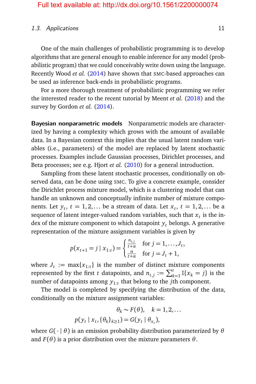#### 1.3. Applications 11

One of the main challenges of probabilistic programming is to develop algorithms that are general enough to enable inference for any model (probabilistic program) that we could conceivably write down using the language. Recently Wood *et al.* [\(2014\)](#page-30-0) have shown that SMC-based approaches can be used as inference back-ends in probabilistic programs.

For a more thorough treatment of probabilistic programming we refer the interested reader to the recent tutorial by Meent *et al.* [\(2018\)](#page-28-5) and the survey by Gordon *et al.* [\(2014\)](#page-25-4).

**Bayesian nonparametric models** Nonparametric models are characterized by having a complexity which grows with the amount of available data. In a Bayesian context this implies that the usual latent random variables (i.e., parameters) of the model are replaced by latent stochastic processes. Examples include Gaussian processes, Dirichlet processes, and Beta processes; see e.g. Hjort *et al.* [\(2010\)](#page-25-5) for a general introduction.

Sampling from these latent stochastic processes, conditionally on observed data, can be done using SMC. To give a concrete example, consider the Dirichlet process mixture model, which is a clustering model that can handle an unknown and conceptually infinite number of mixture components. Let  $y_t$ ,  $t = 1, 2, \ldots$  be a stream of data. Let  $x_t$ ,  $t = 1, 2, \ldots$  be a sequence of latent integer-valued random variables, such that  $x_t$  is the index of the mixture component to which datapoint  $y_t$  belongs. A generative representation of the mixture assignment variables is given by

$$
p(x_{t+1} = j \mid x_{1:t}) = \begin{cases} \frac{n_{t,j}}{t+\alpha} & \text{for } j = 1, \dots, J_t, \\ \frac{\alpha}{t+\alpha} & \text{for } j = J_t + 1, \end{cases}
$$

where  $J_t := \max\{x_{1:t}\}\$  is the number of distinct mixture components represented by the first *t* datapoints, and  $n_{t,j} := \sum_{k=1}^{t} \mathbb{I}\{x_k = j\}$  is the number of datapoints among *y*1:*<sup>t</sup>* that belong to the *j*th component.

The model is completed by specifying the distribution of the data, conditionally on the mixture assignment variables:

$$
\theta_k \sim F(\theta), \quad k = 1, 2, \dots
$$
  

$$
p(y_t | x_t, \{\theta_k\}_{k \ge 1}) = G(y_t | \theta_{x_t}),
$$

where *G*( · | *θ*) is an emission probability distribution parameterized by *θ* and  $F(\theta)$  is a prior distribution over the mixture parameters  $\theta$ .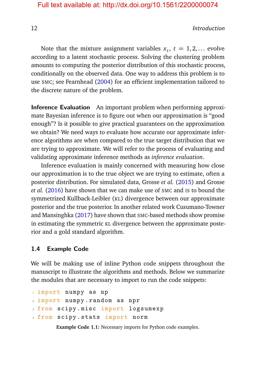12 Introduction and the set of the set of the set of the set of the set of the set of the set of the set of the set of the set of the set of the set of the set of the set of the set of the set of the set of the set of the

Note that the mixture assignment variables  $x_t$ ,  $t = 1, 2, ...$  evolve according to a latent stochastic process. Solving the clustering problem amounts to computing the posterior distribution of this stochastic process, conditionally on the observed data. One way to address this problem is to use SMC; see Fearnhead [\(2004\)](#page-24-0) for an efficient implementation tailored to the discrete nature of the problem.

**Inference Evaluation** An important problem when performing approximate Bayesian inference is to figure out when our approximation is "good enough"? Is it possible to give practical guarantees on the approximation we obtain? We need ways to evaluate how accurate our approximate inference algorithms are when compared to the true target distribution that we are trying to approximate. We will refer to the process of evaluating and validating approximate inference methods as *inference evaluation*.

Inference evaluation is mainly concerned with measuring how close our approximation is to the true object we are trying to estimate, often a posterior distribution. For simulated data, Grosse *et al.* [\(2015\)](#page-25-0) and Grosse *et al.* [\(2016\)](#page-25-6) have shown that we can make use of SMC and IS to bound the symmetrized Kullback-Leibler (KL) divergence between our approximate posterior and the true posterior. In another related work Cusumano-Towner and Mansinghka [\(2017\)](#page-23-0) have shown that SMC-based methods show promise in estimating the symmetric KL divergence between the approximate posterior and a gold standard algorithm.

#### <span id="page-19-0"></span>**1.4 Example Code**

We will be making use of inline Python code snippets throughout the manuscript to illustrate the algorithms and methods. Below we summarize the modules that are necessary to import to run the code snippets:

```
1 import numpy as np
2 import numpy . random as npr
3 from scipy . misc import logsumexp
4 from scipy . stats import norm
```
**Example Code 1.1:** Necessary imports for Python code examples.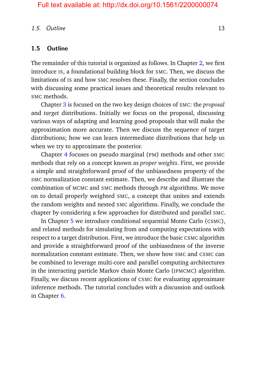#### 1.5. Outline 13

#### <span id="page-20-0"></span>**1.5 Outline**

The remainder of this tutorial is organized as follows. In Chapter [2,](#page--1-0) we first introduce IS, a foundational building block for SMC. Then, we discuss the limitations of IS and how SMC resolves these. Finally, the section concludes with discussing some practical issues and theoretical results relevant to SMC methods.

Chapter [3](#page--1-0) is focused on the two key design choices of SMC: the *proposal* and *target* distributions. Initially we focus on the proposal, discussing various ways of adapting and learning good proposals that will make the approximation more accurate. Then we discuss the sequence of target distributions; how we can learn intermediate distributions that help us when we try to approximate the posterior.

Chapter [4](#page--1-0) focuses on pseudo marginal (PM) methods and other SMC methods that rely on a concept known as *proper weights*. First, we provide a simple and straightforward proof of the unbiasedness property of the SMC normalization constant estimate. Then, we describe and illustrate the combination of MCMC and SMC methods through PM algorithms. We move on to detail properly weighted SMC, a concept that unites and extends the random weights and nested SMC algorithms. Finally, we conclude the chapter by considering a few approaches for distributed and parallel SMC.

In Chapter [5](#page--1-0) we introduce conditional sequential Monte Carlo (CSMC), and related methods for simulating from and computing expectations with respect to a target distribution. First, we introduce the basic CSMC algorithm and provide a straightforward proof of the unbiasedness of the inverse normalization constant estimate. Then, we show how SMC and CSMC can be combined to leverage multi-core and parallel computing architectures in the interacting particle Markov chain Monte Carlo (IPMCMC) algorithm. Finally, we discuss recent applications of CSMC for evaluating approximate inference methods. The tutorial concludes with a discussion and outlook in Chapter [6.](#page--1-0)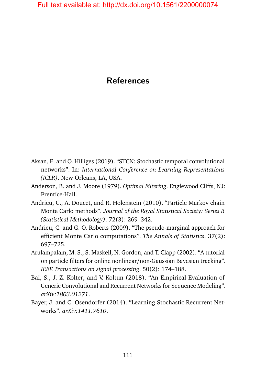- <span id="page-21-0"></span>Aksan, E. and O. Hilliges (2019). "STCN: Stochastic temporal convolutional networks". In: *International Conference on Learning Representations (ICLR)*. New Orleans, LA, USA.
- Anderson, B. and J. Moore (1979). *Optimal Filtering*. Englewood Cliffs, NJ: Prentice-Hall.
- Andrieu, C., A. Doucet, and R. Holenstein (2010). "Particle Markov chain Monte Carlo methods". *Journal of the Royal Statistical Society: Series B (Statistical Methodology)*. 72(3): 269–342.
- Andrieu, C. and G. O. Roberts (2009). "The pseudo-marginal approach for efficient Monte Carlo computations". *The Annals of Statistics*. 37(2): 697–725.
- <span id="page-21-1"></span>Arulampalam, M. S., S. Maskell, N. Gordon, and T. Clapp (2002). "A tutorial on particle filters for online nonlinear/non-Gaussian Bayesian tracking". *IEEE Transactions on signal processing*. 50(2): 174–188.
- Bai, S., J. Z. Kolter, and V. Koltun (2018). "An Empirical Evaluation of Generic Convolutional and Recurrent Networks for Sequence Modeling". *arXiv:1803.01271*.
- <span id="page-21-2"></span>Bayer, J. and C. Osendorfer (2014). "Learning Stochastic Recurrent Networks". *arXiv:1411.7610*.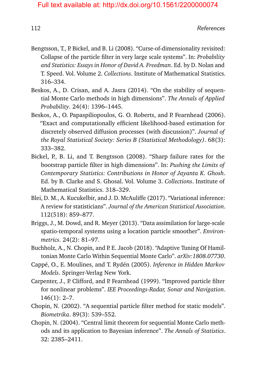- Bengtsson, T., P. Bickel, and B. Li (2008). "Curse-of-dimensionality revisited: Collapse of the particle filter in very large scale systems". In: *Probability and Statistics: Essays in Honor of David A. Freedman*. Ed. by D. Nolan and T. Speed. Vol. Volume 2. *Collections*. Institute of Mathematical Statistics. 316–334.
- Beskos, A., D. Crisan, and A. Jasra (2014). "On the stability of sequential Monte Carlo methods in high dimensions". *The Annals of Applied Probability*. 24(4): 1396–1445.
- Beskos, A., O. Papaspiliopoulos, G. O. Roberts, and P. Fearnhead (2006). "Exact and computationally efficient likelihood-based estimation for discretely observed diffusion processes (with discussion)". *Journal of the Royal Statistical Society: Series B (Statistical Methodology)*. 68(3): 333–382.
- Bickel, P., B. Li, and T. Bengtsson (2008). "Sharp failure rates for the bootstrap particle filter in high dimensions". In: *Pushing the Limits of Contemporary Statistics: Contributions in Honor of Jayanta K. Ghosh*. Ed. by B. Clarke and S. Ghosal. Vol. Volume 3. *Collections*. Institute of Mathematical Statistics. 318–329.
- Blei, D. M., A. Kucukelbir, and J. D. McAuliffe (2017). "Variational inference: A review for statisticians". *Journal of the American Statistical Association*. 112(518): 859–877.
- Briggs, J., M. Dowd, and R. Meyer (2013). "Data assimilation for large-scale spatio-temporal systems using a location particle smoother". *Environmetrics*. 24(2): 81–97.
- Buchholz, A., N. Chopin, and P. E. Jacob (2018). "Adaptive Tuning Of Hamiltonian Monte Carlo Within Sequential Monte Carlo". *arXiv:1808.07730*.
- <span id="page-22-0"></span>Cappé, O., E. Moulines, and T. Rydén (2005). *Inference in Hidden Markov Models*. Springer-Verlag New York.
- Carpenter, J., P. Clifford, and P. Fearnhead (1999). "Improved particle filter for nonlinear problems". *IEE Proceedings-Radar, Sonar and Navigation*. 146(1): 2–7.
- <span id="page-22-1"></span>Chopin, N. (2002). "A sequential particle filter method for static models". *Biometrika*. 89(3): 539–552.
- Chopin, N. (2004). "Central limit theorem for sequential Monte Carlo methods and its application to Bayesian inference". *The Annals of Statistics*. 32: 2385–2411.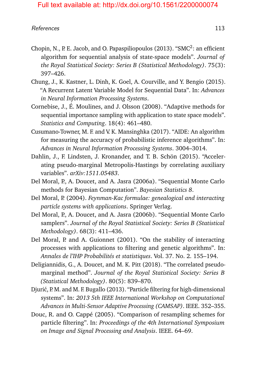#### References and the set of the set of the set of the set of the set of the set of the set of the set of the set of the set of the set of the set of the set of the set of the set of the set of the set of the set of the set o

- Chopin, N., P. E. Jacob, and O. Papaspiliopoulos (2013). "SMC<sup>2</sup>: an efficient algorithm for sequential analysis of state-space models". *Journal of the Royal Statistical Society: Series B (Statistical Methodology)*. 75(3): 397–426.
- <span id="page-23-2"></span>Chung, J., K. Kastner, L. Dinh, K. Goel, A. Courville, and Y. Bengio (2015). "A Recurrent Latent Variable Model for Sequential Data". In: *Advances in Neural Information Processing Systems*.
- Cornebise, J., É. Moulines, and J. Olsson (2008). "Adaptive methods for sequential importance sampling with application to state space models". *Statistics and Computing*. 18(4): 461–480.
- <span id="page-23-0"></span>Cusumano-Towner, M. F. and V. K. Mansinghka (2017). "AIDE: An algorithm for measuring the accuracy of probabilistic inference algorithms". In: *Advances in Neural Information Processing Systems*. 3004–3014.
- Dahlin, J., F. Lindsten, J. Kronander, and T. B. Schön (2015). "Accelerating pseudo-marginal Metropolis-Hastings by correlating auxiliary variables". *arXiv:1511.05483*.
- <span id="page-23-1"></span>Del Moral, P., A. Doucet, and A. Jasra (2006a). "Sequential Monte Carlo methods for Bayesian Computation". *Bayesian Statistics 8*.
- Del Moral, P. (2004). *Feynman-Kac formulae: genealogical and interacting particle systems with applications*. Springer Verlag.
- <span id="page-23-3"></span>Del Moral, P., A. Doucet, and A. Jasra (2006b). "Sequential Monte Carlo samplers". *Journal of the Royal Statistical Society: Series B (Statistical Methodology)*. 68(3): 411–436.
- Del Moral, P. and A. Guionnet (2001). "On the stability of interacting processes with applications to filtering and genetic algorithms". In: *Annales de l'IHP Probabilités et statistiques*. Vol. 37. No. 2. 155–194.
- Deligiannidis, G., A. Doucet, and M. K. Pitt (2018). "The correlated pseudomarginal method". *Journal of the Royal Statistical Society: Series B (Statistical Methodology)*. 80(5): 839–870.
- Djurić, P. M. and M. F. Bugallo (2013). "Particle filtering for high-dimensional systems". In: *2013 5th IEEE International Workshop on Computational Advances in Multi-Sensor Adaptive Processing (CAMSAP)*. IEEE. 352–355.
- Douc, R. and O. Cappé (2005). "Comparison of resampling schemes for particle filtering". In: *Proceedings of the 4th International Symposium on Image and Signal Processing and Analysis*. IEEE. 64–69.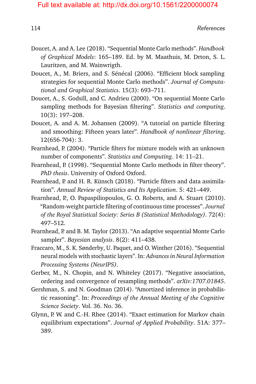- <span id="page-24-3"></span>Doucet, A. and A. Lee (2018). "Sequential Monte Carlo methods". *Handbook of Graphical Models*: 165–189. Ed. by M. Maathuis, M. Drton, S. L. Lauritzen, and M. Wainwrigth.
- Doucet, A., M. Briers, and S. Sénécal (2006). "Efficient block sampling strategies for sequential Monte Carlo methods". *Journal of Computational and Graphical Statistics*. 15(3): 693–711.
- Doucet, A., S. Godsill, and C. Andrieu (2000). "On sequential Monte Carlo sampling methods for Bayesian filtering". *Statistics and computing*. 10(3): 197–208.
- <span id="page-24-1"></span>Doucet, A. and A. M. Johansen (2009). "A tutorial on particle filtering and smoothing: Fifteen years later". *Handbook of nonlinear filtering*. 12(656-704): 3.
- <span id="page-24-0"></span>Fearnhead, P. (2004). "Particle filters for mixture models with an unknown number of components". *Statistics and Computing*. 14: 11–21.
- Fearnhead, P. (1998). "Sequential Monte Carlo methods in filter theory". *PhD thesis*. University of Oxford Oxford.
- <span id="page-24-2"></span>Fearnhead, P. and H. R. Künsch (2018). "Particle filters and data assimilation". *Annual Review of Statistics and Its Application*. 5: 421–449.
- Fearnhead, P., O. Papaspiliopoulos, G. O. Roberts, and A. Stuart (2010). "Random-weight particle filtering of continuous time processes". *Journal of the Royal Statistical Society: Series B (Statistical Methodology)*. 72(4): 497–512.
- Fearnhead, P. and B. M. Taylor (2013). "An adaptive sequential Monte Carlo sampler". *Bayesian analysis*. 8(2): 411–438.
- <span id="page-24-4"></span>Fraccaro, M., S. K. Sønderby, U. Paquet, and O. Winther (2016). "Sequential neural models with stochastic layers". In: *Advances in Neural Information Processing Systems (NeurIPS)*.
- Gerber, M., N. Chopin, and N. Whiteley (2017). "Negative association, ordering and convergence of resampling methods". *arXiv:1707.01845*.
- Gershman, S. and N. Goodman (2014). "Amortized inference in probabilistic reasoning". In: *Proceedings of the Annual Meeting of the Cognitive Science Society*. Vol. 36. No. 36.
- Glynn, P. W. and C.-H. Rhee (2014). "Exact estimation for Markov chain equilibrium expectations". *Journal of Applied Probability*. 51A: 377– 389.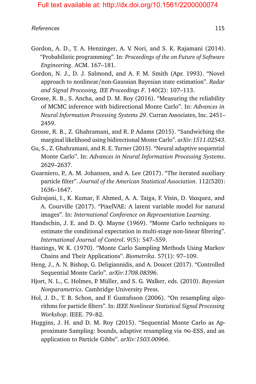#### References and the set of the set of the set of the set of the set of the set of the set of the set of the set of the set of the set of the set of the set of the set of the set of the set of the set of the set of the set o

- <span id="page-25-4"></span>Gordon, A. D., T. A. Henzinger, A. V. Nori, and S. K. Rajamani (2014). "Probabilistic programming". In: *Proceedings of the on Future of Software Engineering*. ACM. 167–181.
- <span id="page-25-1"></span>Gordon, N. J., D. J. Salmond, and A. F. M. Smith (Apr. 1993). "Novel approach to nonlinear/non-Gaussian Bayesian state estimation". *Radar and Signal Processing, IEE Proceedings F*. 140(2): 107–113.
- <span id="page-25-6"></span>Grosse, R. B., S. Ancha, and D. M. Roy (2016). "Measuring the reliability of MCMC inference with bidirectional Monte Carlo". In: *Advances in Neural Information Processing Systems 29*. Curran Associates, Inc. 2451– 2459.
- <span id="page-25-0"></span>Grosse, R. B., Z. Ghahramani, and R. P. Adams (2015). "Sandwiching the marginal likelihood using bidirectional Monte Carlo". *arXiv:1511.02543*.
- Gu, S., Z. Ghahramani, and R. E. Turner (2015). "Neural adaptive sequential Monte Carlo". In: *Advances in Neural Information Processing Systems*. 2629–2637.
- Guarniero, P., A. M. Johansen, and A. Lee (2017). "The iterated auxiliary particle filter". *Journal of the American Statistical Association*. 112(520): 1636–1647.
- Gulrajani, I., K. Kumar, F. Ahmed, A. A. Taiga, F. Visin, D. Vazquez, and A. Courville (2017). "PixelVAE: A latent variable model for natural images". In: *International Conference on Representation Learning*.
- <span id="page-25-3"></span>Handschin, J. E. and D. Q. Mayne (1969). "Monte Carlo techniques to estimate the conditional expectation in multi-stage non-linear filtering". *International Journal of Control*. 9(5): 547–559.
- <span id="page-25-2"></span>Hastings, W. K. (1970). "Monte Carlo Sampling Methods Using Markov Chains and Their Applications". *Biometrika*. 57(1): 97–109.
- Heng, J., A. N. Bishop, G. Deligiannidis, and A. Doucet (2017). "Controlled Sequential Monte Carlo". *arXiv:1708.08396*.
- <span id="page-25-5"></span>Hjort, N. L., C. Holmes, P. Müller, and S. G. Walker, eds. (2010). *Bayesian Nonparametrics*. Cambridge University Press.
- Hol, J. D., T. B. Schon, and F. Gustafsson (2006). "On resampling algorithms for particle filters". In: *IEEE Nonlinear Statistical Signal Processing Workshop*. IEEE. 79–82.
- Huggins, J. H. and D. M. Roy (2015). "Sequential Monte Carlo as Approximate Sampling: bounds, adaptive resampling via  $\infty$ -ESS, and an application to Particle Gibbs". *arXiv:1503.00966*.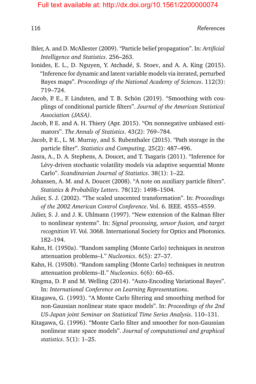- <span id="page-26-0"></span>Ihler, A. and D. McAllester (2009). "Particle belief propagation". In: *Artificial Intelligence and Statistics*. 256–263.
- Ionides, E. L., D. Nguyen, Y. Atchadé, S. Stoev, and A. A. King (2015). "Inference for dynamic and latent variable models via iterated, perturbed Bayes maps". *Proceedings of the National Academy of Sciences*. 112(3): 719–724.
- Jacob, P. E., F. Lindsten, and T. B. Schön (2019). "Smoothing with couplings of conditional particle filters". *Journal of the American Statistical Association (JASA)*.
- Jacob, P. E. and A. H. Thiery (Apr. 2015). "On nonnegative unbiased estimators". *The Annals of Statistics*. 43(2): 769–784.
- Jacob, P. E., L. M. Murray, and S. Rubenthaler (2015). "Path storage in the particle filter". *Statistics and Computing*. 25(2): 487–496.
- Jasra, A., D. A. Stephens, A. Doucet, and T. Tsagaris (2011). "Inference for Lévy-driven stochastic volatility models via adaptive sequential Monte Carlo". *Scandinavian Journal of Statistics*. 38(1): 1–22.
- Johansen, A. M. and A. Doucet (2008). "A note on auxiliary particle filters". *Statistics & Probability Letters*. 78(12): 1498–1504.
- Julier, S. J. (2002). "The scaled unscented transformation". In: *Proceedings of the 2002 American Control Conference*. Vol. 6. IEEE. 4555–4559.
- Julier, S. J. and J. K. Uhlmann (1997). "New extension of the Kalman filter to nonlinear systems". In: *Signal processing, sensor fusion, and target recognition VI*. Vol. 3068. International Society for Optics and Photonics. 182–194.
- Kahn, H. (1950a). "Random sampling (Monte Carlo) techniques in neutron attenuation problems–I." *Nucleonics*. 6(5): 27–37.
- Kahn, H. (1950b). "Random sampling (Monte Carlo) techniques in neutron attenuation problems–II." *Nucleonics*. 6(6): 60–65.
- Kingma, D. P. and M. Welling (2014). "Auto-Encoding Variational Bayes". In: *International Conference on Learning Representations*.
- <span id="page-26-1"></span>Kitagawa, G. (1993). "A Monte Carlo filtering and smoothing method for non-Gaussian nonlinear state space models". In: *Proceedings of the 2nd US-Japan joint Seminar on Statistical Time Series Analysis*. 110–131.
- Kitagawa, G. (1996). "Monte Carlo filter and smoother for non-Gaussian nonlinear state space models". *Journal of computational and graphical statistics*. 5(1): 1–25.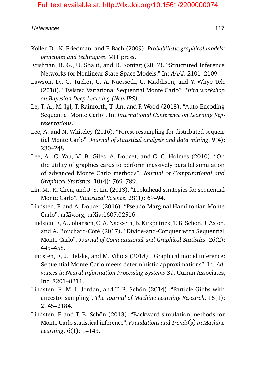#### References and the set of the set of the set of the set of the set of the set of the set of the set of the set of the set of the set of the set of the set of the set of the set of the set of the set of the set of the set o

- <span id="page-27-1"></span>Koller, D., N. Friedman, and F. Bach (2009). *Probabilistic graphical models: principles and techniques*. MIT press.
- Krishnan, R. G., U. Shalit, and D. Sontag (2017). "Structured Inference Networks for Nonlinear State Space Models." In: *AAAI*. 2101–2109.
- Lawson, D., G. Tucker, C. A. Naesseth, C. Maddison, and Y. Whye Teh (2018). "Twisted Variational Sequential Monte Carlo". *Third workshop on Bayesian Deep Learning (NeurIPS)*.
- <span id="page-27-0"></span>Le, T. A., M. Igl, T. Rainforth, T. Jin, and F. Wood (2018). "Auto-Encoding Sequential Monte Carlo". In: *International Conference on Learning Representations*.
- Lee, A. and N. Whiteley (2016). "Forest resampling for distributed sequential Monte Carlo". *Journal of statistical analysis and data mining*. 9(4): 230–248.
- Lee, A., C. Yau, M. B. Giles, A. Doucet, and C. C. Holmes (2010). "On the utility of graphics cards to perform massively parallel simulation of advanced Monte Carlo methods". *Journal of Computational and Graphical Statistics*. 10(4): 769–789.
- Lin, M., R. Chen, and J. S. Liu (2013). "Lookahead strategies for sequential Monte Carlo". *Statistical Science*. 28(1): 69–94.
- Lindsten, F. and A. Doucet (2016). "Pseudo-Marginal Hamiltonian Monte Carlo". arXiv.org, arXiv:1607.02516.
- <span id="page-27-2"></span>Lindsten, F., A. Johansen, C. A. Naesseth, B. Kirkpatrick, T. B. Schön, J. Aston, and A. Bouchard-Côté (2017). "Divide-and-Conquer with Sequential Monte Carlo". *Journal of Computational and Graphical Statistics*. 26(2): 445–458.
- <span id="page-27-3"></span>Lindsten, F., J. Helske, and M. Vihola (2018). "Graphical model inference: Sequential Monte Carlo meets deterministic approximations". In: *Advances in Neural Information Processing Systems 31*. Curran Associates, Inc. 8201–8211.
- Lindsten, F., M. I. Jordan, and T. B. Schön (2014). "Particle Gibbs with ancestor sampling". *The Journal of Machine Learning Research*. 15(1): 2145–2184.
- Lindsten, F. and T. B. Schön (2013). "Backward simulation methods for Monte Carlo statistical inference". *Foundations and Trends* (R) in Machine *Learning*. 6(1): 1–143.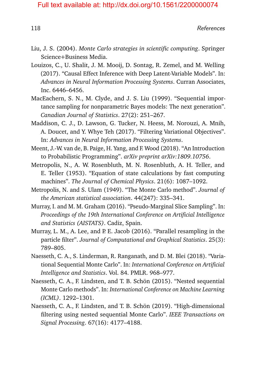- Liu, J. S. (2004). *Monte Carlo strategies in scientific computing*. Springer Science+Business Media.
- Louizos, C., U. Shalit, J. M. Mooij, D. Sontag, R. Zemel, and M. Welling (2017). "Causal Effect Inference with Deep Latent-Variable Models". In: *Advances in Neural Information Processing Systems*. Curran Associates, Inc. 6446–6456.
- <span id="page-28-4"></span>MacEachern, S. N., M. Clyde, and J. S. Liu (1999). "Sequential importance sampling for nonparametric Bayes models: The next generation". *Canadian Journal of Statistics*. 27(2): 251–267.
- <span id="page-28-0"></span>Maddison, C. J., D. Lawson, G. Tucker, N. Heess, M. Norouzi, A. Mnih, A. Doucet, and Y. Whye Teh (2017). "Filtering Variational Objectives". In: *Advances in Neural Information Processing Systems*.
- <span id="page-28-5"></span>Meent, J.-W. van de, B. Paige, H. Yang, and F. Wood (2018). "An Introduction to Probabilistic Programming". *arXiv preprint arXiv:1809.10756*.
- <span id="page-28-3"></span>Metropolis, N., A. W. Rosenbluth, M. N. Rosenbluth, A. H. Teller, and E. Teller (1953). "Equation of state calculations by fast computing machines". *The Journal of Chemical Physics*. 21(6): 1087–1092.
- <span id="page-28-2"></span>Metropolis, N. and S. Ulam (1949). "The Monte Carlo method". *Journal of the American statistical association*. 44(247): 335–341.
- Murray, I. and M. M. Graham (2016). "Pseudo-Marginal Slice Sampling". In: *Proceedings of the 19th International Conference on Artificial Intelligence and Statistics (AISTATS)*. Cadiz, Spain.
- Murray, L. M., A. Lee, and P. E. Jacob (2016). "Parallel resampling in the particle filter". *Journal of Computational and Graphical Statistics*. 25(3): 789–805.
- <span id="page-28-1"></span>Naesseth, C. A., S. Linderman, R. Ranganath, and D. M. Blei (2018). "Variational Sequential Monte Carlo". In: *International Conference on Artificial Intelligence and Statistics*. Vol. 84. PMLR. 968–977.
- Naesseth, C. A., F. Lindsten, and T. B. Schön (2015). "Nested sequential Monte Carlo methods". In: *International Conference on Machine Learning (ICML)*. 1292–1301.
- Naesseth, C. A., F. Lindsten, and T. B. Schön (2019). "High-dimensional filtering using nested sequential Monte Carlo". *IEEE Transactions on Signal Processing*. 67(16): 4177–4188.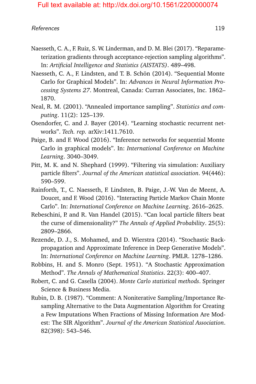#### References and the set of the set of the set of the set of the set of the set of the set of the set of the set of the set of the set of the set of the set of the set of the set of the set of the set of the set of the set o

- Naesseth, C. A., F. Ruiz, S. W. Linderman, and D. M. Blei (2017). "Reparameterization gradients through acceptance-rejection sampling algorithms". In: *Artificial Intelligence and Statistics (AISTATS)*. 489–498.
- <span id="page-29-0"></span>Naesseth, C. A., F. Lindsten, and T. B. Schön (2014). "Sequential Monte Carlo for Graphical Models". In: *Advances in Neural Information Processing Systems 27*. Montreal, Canada: Curran Associates, Inc. 1862– 1870.
- <span id="page-29-3"></span>Neal, R. M. (2001). "Annealed importance sampling". *Statistics and computing*. 11(2): 125–139.
- Osendorfer, C. and J. Bayer (2014). "Learning stochastic recurrent networks". *Tech. rep.* arXiv:1411.7610.
- <span id="page-29-1"></span>Paige, B. and F. Wood (2016). "Inference networks for sequential Monte Carlo in graphical models". In: *International Conference on Machine Learning*. 3040–3049.
- Pitt, M. K. and N. Shephard (1999). "Filtering via simulation: Auxiliary particle filters". *Journal of the American statistical association*. 94(446): 590–599.
- Rainforth, T., C. Naesseth, F. Lindsten, B. Paige, J.-W. Van de Meent, A. Doucet, and F. Wood (2016). "Interacting Particle Markov Chain Monte Carlo". In: *International Conference on Machine Learning*. 2616–2625.
- Rebeschini, P. and R. Van Handel (2015). "Can local particle filters beat the curse of dimensionality?" *The Annals of Applied Probability*. 25(5): 2809–2866.
- Rezende, D. J., S. Mohamed, and D. Wierstra (2014). "Stochastic Backpropagation and Approximate Inference in Deep Generative Models". In: *International Conference on Machine Learning*. PMLR. 1278–1286.
- Robbins, H. and S. Monro (Sept. 1951). "A Stochastic Approximation Method". *The Annals of Mathematical Statistics*. 22(3): 400–407.
- Robert, C. and G. Casella (2004). *Monte Carlo statistical methods*. Springer Science & Business Media.
- <span id="page-29-2"></span>Rubin, D. B. (1987). "Comment: A Noniterative Sampling/Importance Resampling Alternative to the Data Augmentation Algorithm for Creating a Few Imputations When Fractions of Missing Information Are Modest: The SIR Algorithm". *Journal of the American Statistical Association*. 82(398): 543–546.